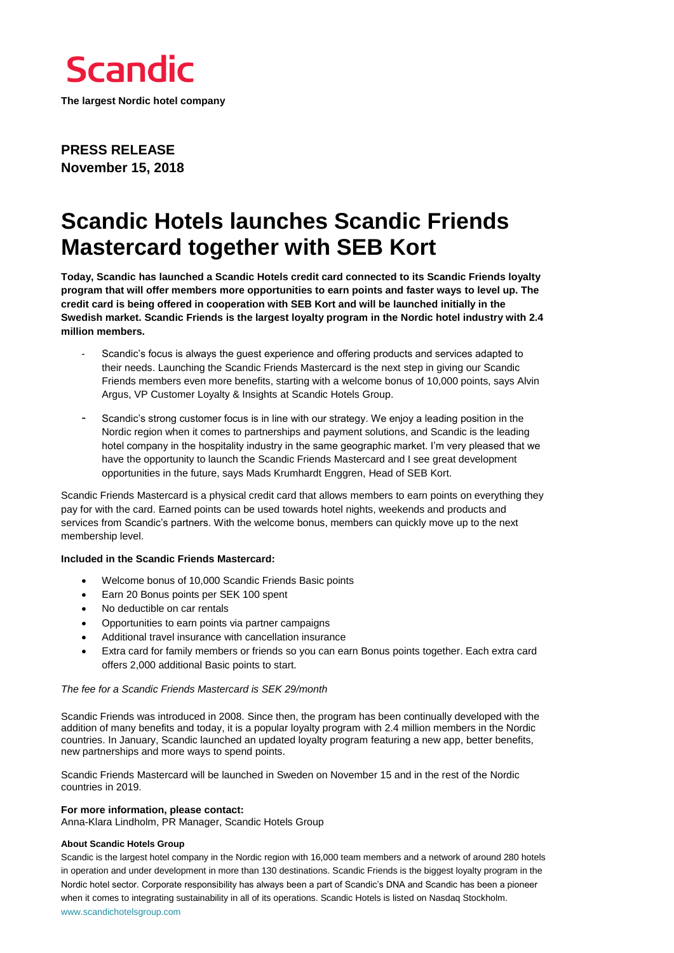

**The largest Nordic hotel company**

**PRESS RELEASE November 15, 2018**

# **Scandic Hotels launches Scandic Friends Mastercard together with SEB Kort**

**Today, Scandic has launched a Scandic Hotels credit card connected to its Scandic Friends loyalty program that will offer members more opportunities to earn points and faster ways to level up. The credit card is being offered in cooperation with SEB Kort and will be launched initially in the Swedish market. Scandic Friends is the largest loyalty program in the Nordic hotel industry with 2.4 million members.**

- Scandic's focus is always the quest experience and offering products and services adapted to their needs. Launching the Scandic Friends Mastercard is the next step in giving our Scandic Friends members even more benefits, starting with a welcome bonus of 10,000 points, says Alvin Argus, VP Customer Loyalty & Insights at Scandic Hotels Group.
- Scandic's strong customer focus is in line with our strategy. We enjoy a leading position in the Nordic region when it comes to partnerships and payment solutions, and Scandic is the leading hotel company in the hospitality industry in the same geographic market. I'm very pleased that we have the opportunity to launch the Scandic Friends Mastercard and I see great development opportunities in the future, says Mads Krumhardt Enggren, Head of SEB Kort.

Scandic Friends Mastercard is a physical credit card that allows members to earn points on everything they pay for with the card. Earned points can be used towards hotel nights, weekends and products and services from Scandic's partners. With the welcome bonus, members can quickly move up to the next membership level.

### **Included in the Scandic Friends Mastercard:**

- Welcome bonus of 10,000 Scandic Friends Basic points
- Earn 20 Bonus points per SEK 100 spent
- No deductible on car rentals
- Opportunities to earn points via partner campaigns
- Additional travel insurance with cancellation insurance
- Extra card for family members or friends so you can earn Bonus points together. Each extra card offers 2,000 additional Basic points to start.

## *The fee for a Scandic Friends Mastercard is SEK 29/month*

Scandic Friends was introduced in 2008. Since then, the program has been continually developed with the addition of many benefits and today, it is a popular loyalty program with 2.4 million members in the Nordic countries. In January, Scandic launched an updated loyalty program featuring a new app, better benefits, new partnerships and more ways to spend points.

Scandic Friends Mastercard will be launched in Sweden on November 15 and in the rest of the Nordic countries in 2019.

### **For more information, please contact:**

Anna-Klara Lindholm, PR Manager, Scandic Hotels Group

#### **About Scandic Hotels Group**

Scandic is the largest hotel company in the Nordic region with 16,000 team members and a network of around 280 hotels in operation and under development in more than 130 destinations. Scandic Friends is the biggest loyalty program in the Nordic hotel sector. Corporate responsibility has always been a part of Scandic's DNA and Scandic has been a pioneer when it comes to integrating sustainability in all of its operations. Scandic Hotels is listed on Nasdaq Stockholm. [www.scandichotelsgroup.com](http://www.scandichotelsgroup.com/)